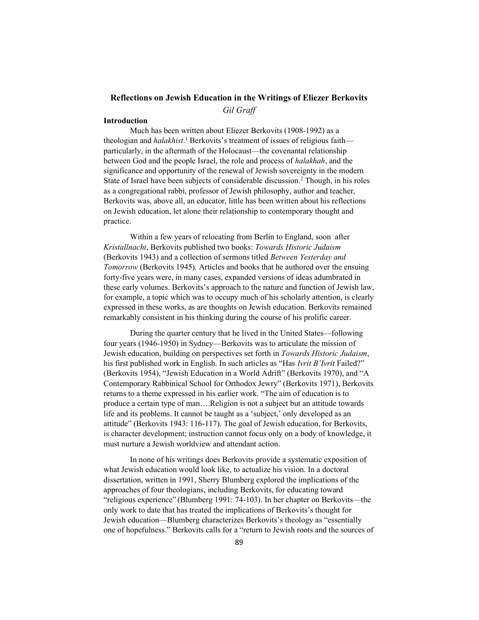Gil Graff

## Introduction

Much has been written about Eliezer Berkovits (1908-1992) as a theologian and *halakhist*.<sup>1</sup> Berkovits's treatment of issues of religious faith particularly, in the aftermath of the Holocaust—the covenantal relationship between God and the people Israel, the role and process of halakhah, and the significance and opportunity of the renewal of Jewish sovereignty in the modern State of Israel have been subjects of considerable discussion.<sup>2</sup> Though, in his roles as a congregational rabbi, professor of Jewish philosophy, author and teacher, Berkovits was, above all, an educator, little has been written about his reflections on Jewish education, let alone their relationship to contemporary thought and practice.

Within a few years of relocating from Berlin to England, soon after Kristallnacht, Berkovits published two books: Towards Historic Judaism (Berkovits 1943) and a collection of sermons titled Between Yesterday and Tomorrow (Berkovits 1945). Articles and books that he authored over the ensuing forty-five years were, in many cases, expanded versions of ideas adumbrated in these early volumes. Berkovits's approach to the nature and function of Jewish law, for example, a topic which was to occupy much of his scholarly attention, is clearly expressed in these works, as are thoughts on Jewish education. Berkovits remained remarkably consistent in his thinking during the course of his prolific career.

During the quarter century that he lived in the United States—following four years (1946-1950) in Sydney—Berkovits was to articulate the mission of Jewish education, building on perspectives set forth in *Towards Historic Judaism*, his first published work in English. In such articles as "Has *Ivrit B'Ivrit* Failed?" (Berkovits 1954), "Jewish Education in a World Adrift" (Berkovits 1970), and "A Contemporary Rabbinical School for Orthodox Jewry" (Berkovits 1971), Berkovits returns to a theme expressed in his earlier work. "The aim of education is to produce a certain type of man….Religion is not a subject but an attitude towards life and its problems. It cannot be taught as a 'subject,' only developed as an attitude" (Berkovits 1943: 116-117). The goal of Jewish education, for Berkovits, is character development; instruction cannot focus only on a body of knowledge, it must nurture a Jewish worldview and attendant action.

In none of his writings does Berkovits provide a systematic exposition of what Jewish education would look like, to actualize his vision. In a doctoral dissertation, written in 1991, Sherry Blumberg explored the implications of the approaches of four theologians, including Berkovits, for educating toward "religious experience" (Blumberg 1991: 74-103). In her chapter on Berkovits—the only work to date that has treated the implications of Berkovits's thought for Jewish education—Blumberg characterizes Berkovits's theology as "essentially one of hopefulness." Berkovits calls for a "return to Jewish roots and the sources of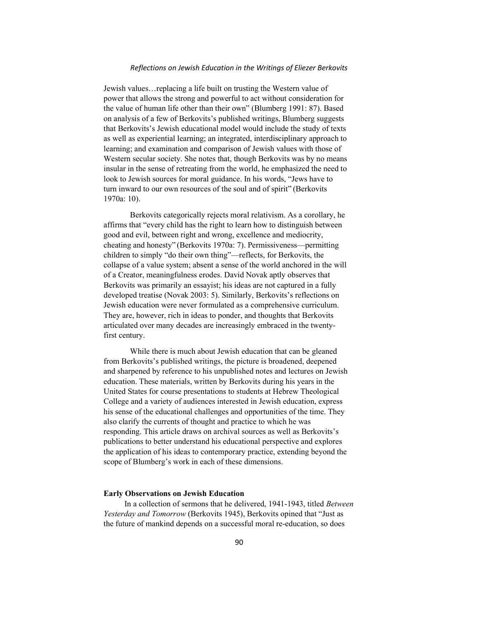Jewish values…replacing a life built on trusting the Western value of power that allows the strong and powerful to act without consideration for the value of human life other than their own" (Blumberg 1991: 87). Based on analysis of a few of Berkovits's published writings, Blumberg suggests that Berkovits's Jewish educational model would include the study of texts as well as experiential learning; an integrated, interdisciplinary approach to learning; and examination and comparison of Jewish values with those of Western secular society. She notes that, though Berkovits was by no means insular in the sense of retreating from the world, he emphasized the need to look to Jewish sources for moral guidance. In his words, "Jews have to turn inward to our own resources of the soul and of spirit" (Berkovits 1970a: 10).

Berkovits categorically rejects moral relativism. As a corollary, he affirms that "every child has the right to learn how to distinguish between good and evil, between right and wrong, excellence and mediocrity, cheating and honesty" (Berkovits 1970a: 7). Permissiveness—permitting children to simply "do their own thing"—reflects, for Berkovits, the collapse of a value system; absent a sense of the world anchored in the will of a Creator, meaningfulness erodes. David Novak aptly observes that Berkovits was primarily an essayist; his ideas are not captured in a fully developed treatise (Novak 2003: 5). Similarly, Berkovits's reflections on Jewish education were never formulated as a comprehensive curriculum. They are, however, rich in ideas to ponder, and thoughts that Berkovits articulated over many decades are increasingly embraced in the twentyfirst century.

While there is much about Jewish education that can be gleaned from Berkovits's published writings, the picture is broadened, deepened and sharpened by reference to his unpublished notes and lectures on Jewish education. These materials, written by Berkovits during his years in the United States for course presentations to students at Hebrew Theological College and a variety of audiences interested in Jewish education, express his sense of the educational challenges and opportunities of the time. They also clarify the currents of thought and practice to which he was responding. This article draws on archival sources as well as Berkovits's publications to better understand his educational perspective and explores the application of his ideas to contemporary practice, extending beyond the scope of Blumberg's work in each of these dimensions.

## Early Observations on Jewish Education

In a collection of sermons that he delivered, 1941-1943, titled Between Yesterday and Tomorrow (Berkovits 1945), Berkovits opined that "Just as the future of mankind depends on a successful moral re-education, so does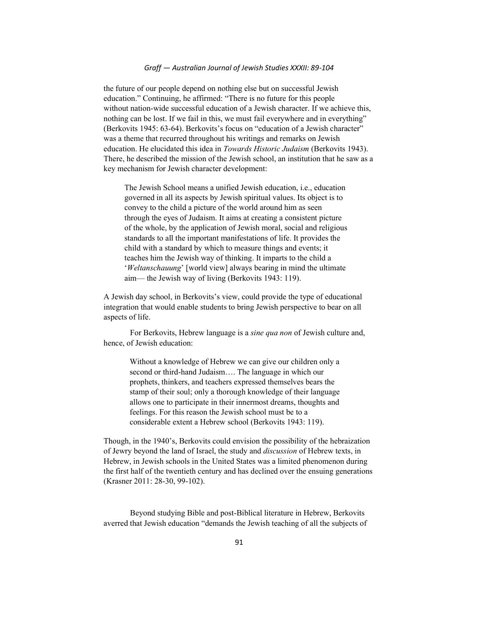the future of our people depend on nothing else but on successful Jewish education." Continuing, he affirmed: "There is no future for this people without nation-wide successful education of a Jewish character. If we achieve this, nothing can be lost. If we fail in this, we must fail everywhere and in everything" (Berkovits 1945: 63-64). Berkovits's focus on "education of a Jewish character" was a theme that recurred throughout his writings and remarks on Jewish education. He elucidated this idea in *Towards Historic Judaism* (Berkovits 1943). There, he described the mission of the Jewish school, an institution that he saw as a key mechanism for Jewish character development:

The Jewish School means a unified Jewish education, i.e., education governed in all its aspects by Jewish spiritual values. Its object is to convey to the child a picture of the world around him as seen through the eyes of Judaism. It aims at creating a consistent picture of the whole, by the application of Jewish moral, social and religious standards to all the important manifestations of life. It provides the child with a standard by which to measure things and events; it teaches him the Jewish way of thinking. It imparts to the child a 'Weltanschauung' [world view] always bearing in mind the ultimate aim— the Jewish way of living (Berkovits 1943: 119).

A Jewish day school, in Berkovits's view, could provide the type of educational integration that would enable students to bring Jewish perspective to bear on all aspects of life.

For Berkovits, Hebrew language is a sine qua non of Jewish culture and, hence, of Jewish education:

Without a knowledge of Hebrew we can give our children only a second or third-hand Judaism…. The language in which our prophets, thinkers, and teachers expressed themselves bears the stamp of their soul; only a thorough knowledge of their language allows one to participate in their innermost dreams, thoughts and feelings. For this reason the Jewish school must be to a considerable extent a Hebrew school (Berkovits 1943: 119).

Though, in the 1940's, Berkovits could envision the possibility of the hebraization of Jewry beyond the land of Israel, the study and discussion of Hebrew texts, in Hebrew, in Jewish schools in the United States was a limited phenomenon during the first half of the twentieth century and has declined over the ensuing generations (Krasner 2011: 28-30, 99-102).

Beyond studying Bible and post-Biblical literature in Hebrew, Berkovits averred that Jewish education "demands the Jewish teaching of all the subjects of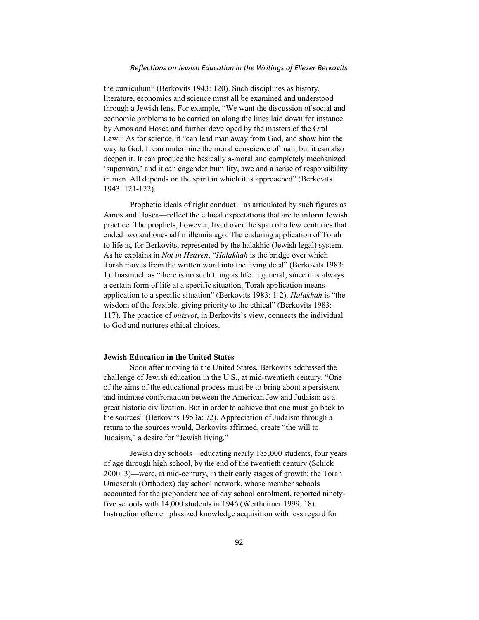the curriculum" (Berkovits 1943: 120). Such disciplines as history, literature, economics and science must all be examined and understood through a Jewish lens. For example, "We want the discussion of social and economic problems to be carried on along the lines laid down for instance by Amos and Hosea and further developed by the masters of the Oral Law." As for science, it "can lead man away from God, and show him the way to God. It can undermine the moral conscience of man, but it can also deepen it. It can produce the basically a-moral and completely mechanized 'superman,' and it can engender humility, awe and a sense of responsibility in man. All depends on the spirit in which it is approached" (Berkovits 1943: 121-122).

Prophetic ideals of right conduct—as articulated by such figures as Amos and Hosea—reflect the ethical expectations that are to inform Jewish practice. The prophets, however, lived over the span of a few centuries that ended two and one-half millennia ago. The enduring application of Torah to life is, for Berkovits, represented by the halakhic (Jewish legal) system. As he explains in Not in Heaven, "Halakhah is the bridge over which Torah moves from the written word into the living deed" (Berkovits 1983: 1). Inasmuch as "there is no such thing as life in general, since it is always a certain form of life at a specific situation, Torah application means application to a specific situation" (Berkovits 1983: 1-2). Halakhah is "the wisdom of the feasible, giving priority to the ethical" (Berkovits 1983: 117). The practice of mitzvot, in Berkovits's view, connects the individual to God and nurtures ethical choices.

## Jewish Education in the United States

Soon after moving to the United States, Berkovits addressed the challenge of Jewish education in the U.S., at mid-twentieth century. "One of the aims of the educational process must be to bring about a persistent and intimate confrontation between the American Jew and Judaism as a great historic civilization. But in order to achieve that one must go back to the sources" (Berkovits 1953a: 72). Appreciation of Judaism through a return to the sources would, Berkovits affirmed, create "the will to Judaism," a desire for "Jewish living."

Jewish day schools—educating nearly 185,000 students, four years of age through high school, by the end of the twentieth century (Schick 2000: 3)—were, at mid-century, in their early stages of growth; the Torah Umesorah (Orthodox) day school network, whose member schools accounted for the preponderance of day school enrolment, reported ninetyfive schools with 14,000 students in 1946 (Wertheimer 1999: 18). Instruction often emphasized knowledge acquisition with less regard for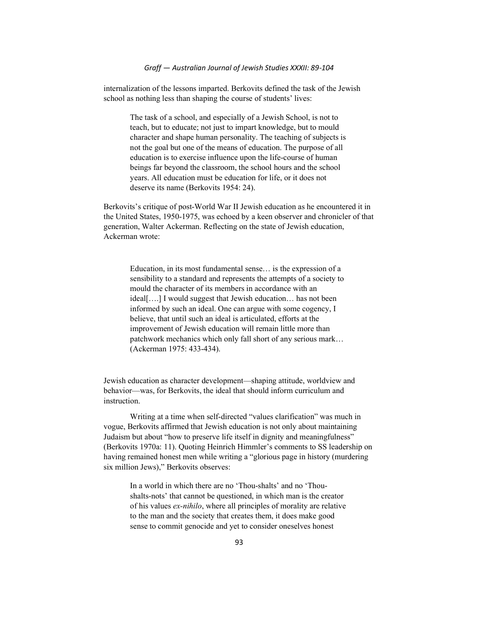internalization of the lessons imparted. Berkovits defined the task of the Jewish school as nothing less than shaping the course of students' lives:

> The task of a school, and especially of a Jewish School, is not to teach, but to educate; not just to impart knowledge, but to mould character and shape human personality. The teaching of subjects is not the goal but one of the means of education. The purpose of all education is to exercise influence upon the life-course of human beings far beyond the classroom, the school hours and the school years. All education must be education for life, or it does not deserve its name (Berkovits 1954: 24).

Berkovits's critique of post-World War II Jewish education as he encountered it in the United States, 1950-1975, was echoed by a keen observer and chronicler of that generation, Walter Ackerman. Reflecting on the state of Jewish education, Ackerman wrote:

Education, in its most fundamental sense… is the expression of a sensibility to a standard and represents the attempts of a society to mould the character of its members in accordance with an ideal[….] I would suggest that Jewish education… has not been informed by such an ideal. One can argue with some cogency, I believe, that until such an ideal is articulated, efforts at the improvement of Jewish education will remain little more than patchwork mechanics which only fall short of any serious mark… (Ackerman 1975: 433-434).

Jewish education as character development—shaping attitude, worldview and behavior—was, for Berkovits, the ideal that should inform curriculum and instruction.

Writing at a time when self-directed "values clarification" was much in vogue, Berkovits affirmed that Jewish education is not only about maintaining Judaism but about "how to preserve life itself in dignity and meaningfulness" (Berkovits 1970a: 11). Quoting Heinrich Himmler's comments to SS leadership on having remained honest men while writing a "glorious page in history (murdering six million Jews)," Berkovits observes:

In a world in which there are no 'Thou-shalts' and no 'Thoushalts-nots' that cannot be questioned, in which man is the creator of his values ex-nihilo, where all principles of morality are relative to the man and the society that creates them, it does make good sense to commit genocide and yet to consider oneselves honest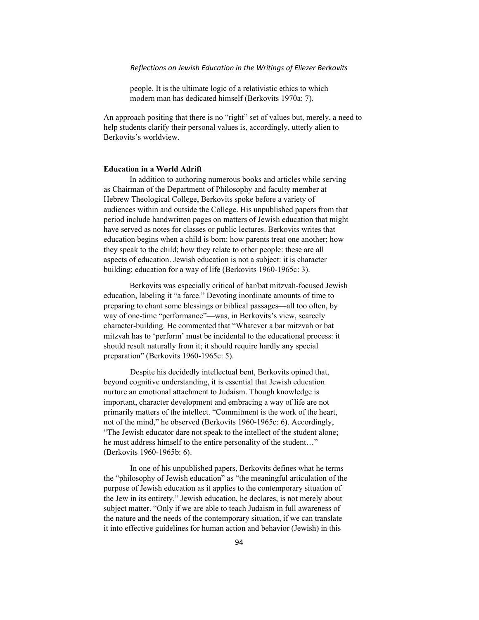people. It is the ultimate logic of a relativistic ethics to which modern man has dedicated himself (Berkovits 1970a: 7).

An approach positing that there is no "right" set of values but, merely, a need to help students clarify their personal values is, accordingly, utterly alien to Berkovits's worldview.

## Education in a World Adrift

In addition to authoring numerous books and articles while serving as Chairman of the Department of Philosophy and faculty member at Hebrew Theological College, Berkovits spoke before a variety of audiences within and outside the College. His unpublished papers from that period include handwritten pages on matters of Jewish education that might have served as notes for classes or public lectures. Berkovits writes that education begins when a child is born: how parents treat one another; how they speak to the child; how they relate to other people: these are all aspects of education. Jewish education is not a subject: it is character building; education for a way of life (Berkovits 1960-1965c: 3).

Berkovits was especially critical of bar/bat mitzvah-focused Jewish education, labeling it "a farce." Devoting inordinate amounts of time to preparing to chant some blessings or biblical passages—all too often, by way of one-time "performance"—was, in Berkovits's view, scarcely character-building. He commented that "Whatever a bar mitzvah or bat mitzvah has to 'perform' must be incidental to the educational process: it should result naturally from it; it should require hardly any special preparation" (Berkovits 1960-1965c: 5).

Despite his decidedly intellectual bent, Berkovits opined that, beyond cognitive understanding, it is essential that Jewish education nurture an emotional attachment to Judaism. Though knowledge is important, character development and embracing a way of life are not primarily matters of the intellect. "Commitment is the work of the heart, not of the mind," he observed (Berkovits 1960-1965c: 6). Accordingly, "The Jewish educator dare not speak to the intellect of the student alone; he must address himself to the entire personality of the student…" (Berkovits 1960-1965b: 6).

In one of his unpublished papers, Berkovits defines what he terms the "philosophy of Jewish education" as "the meaningful articulation of the purpose of Jewish education as it applies to the contemporary situation of the Jew in its entirety." Jewish education, he declares, is not merely about subject matter. "Only if we are able to teach Judaism in full awareness of the nature and the needs of the contemporary situation, if we can translate it into effective guidelines for human action and behavior (Jewish) in this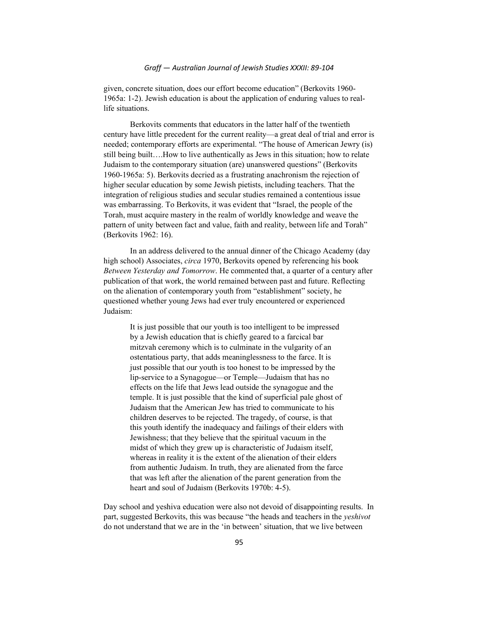given, concrete situation, does our effort become education" (Berkovits 1960- 1965a: 1-2). Jewish education is about the application of enduring values to reallife situations.

Berkovits comments that educators in the latter half of the twentieth century have little precedent for the current reality—a great deal of trial and error is needed; contemporary efforts are experimental. "The house of American Jewry (is) still being built….How to live authentically as Jews in this situation; how to relate Judaism to the contemporary situation (are) unanswered questions" (Berkovits 1960-1965a: 5). Berkovits decried as a frustrating anachronism the rejection of higher secular education by some Jewish pietists, including teachers. That the integration of religious studies and secular studies remained a contentious issue was embarrassing. To Berkovits, it was evident that "Israel, the people of the Torah, must acquire mastery in the realm of worldly knowledge and weave the pattern of unity between fact and value, faith and reality, between life and Torah" (Berkovits 1962: 16).

In an address delivered to the annual dinner of the Chicago Academy (day high school) Associates, circa 1970, Berkovits opened by referencing his book Between Yesterday and Tomorrow. He commented that, a quarter of a century after publication of that work, the world remained between past and future. Reflecting on the alienation of contemporary youth from "establishment" society, he questioned whether young Jews had ever truly encountered or experienced Judaism:

It is just possible that our youth is too intelligent to be impressed by a Jewish education that is chiefly geared to a farcical bar mitzvah ceremony which is to culminate in the vulgarity of an ostentatious party, that adds meaninglessness to the farce. It is just possible that our youth is too honest to be impressed by the lip-service to a Synagogue—or Temple—Judaism that has no effects on the life that Jews lead outside the synagogue and the temple. It is just possible that the kind of superficial pale ghost of Judaism that the American Jew has tried to communicate to his children deserves to be rejected. The tragedy, of course, is that this youth identify the inadequacy and failings of their elders with Jewishness; that they believe that the spiritual vacuum in the midst of which they grew up is characteristic of Judaism itself, whereas in reality it is the extent of the alienation of their elders from authentic Judaism. In truth, they are alienated from the farce that was left after the alienation of the parent generation from the heart and soul of Judaism (Berkovits 1970b: 4-5).

Day school and yeshiva education were also not devoid of disappointing results. In part, suggested Berkovits, this was because "the heads and teachers in the yeshivot do not understand that we are in the 'in between' situation, that we live between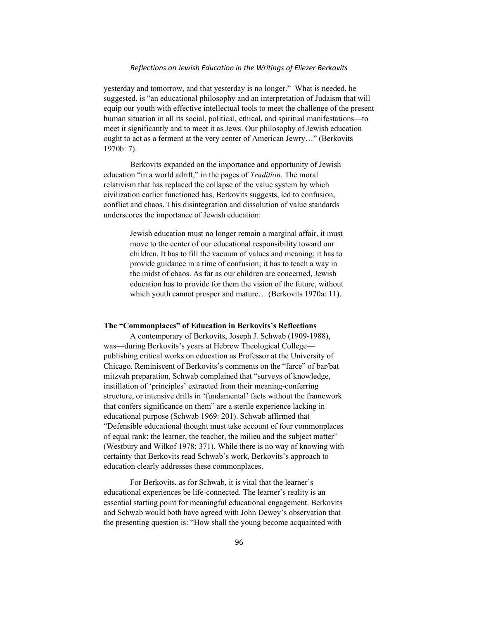yesterday and tomorrow, and that yesterday is no longer." What is needed, he suggested, is "an educational philosophy and an interpretation of Judaism that will equip our youth with effective intellectual tools to meet the challenge of the present human situation in all its social, political, ethical, and spiritual manifestations—to meet it significantly and to meet it as Jews. Our philosophy of Jewish education ought to act as a ferment at the very center of American Jewry…" (Berkovits 1970b: 7).

Berkovits expanded on the importance and opportunity of Jewish education "in a world adrift," in the pages of *Tradition*. The moral relativism that has replaced the collapse of the value system by which civilization earlier functioned has, Berkovits suggests, led to confusion, conflict and chaos. This disintegration and dissolution of value standards underscores the importance of Jewish education:

> Jewish education must no longer remain a marginal affair, it must move to the center of our educational responsibility toward our children. It has to fill the vacuum of values and meaning; it has to provide guidance in a time of confusion; it has to teach a way in the midst of chaos. As far as our children are concerned, Jewish education has to provide for them the vision of the future, without which youth cannot prosper and mature… (Berkovits 1970a: 11).

#### The "Commonplaces" of Education in Berkovits's Reflections

A contemporary of Berkovits, Joseph J. Schwab (1909-1988), was—during Berkovits's years at Hebrew Theological College publishing critical works on education as Professor at the University of Chicago. Reminiscent of Berkovits's comments on the "farce" of bar/bat mitzvah preparation, Schwab complained that "surveys of knowledge, instillation of 'principles' extracted from their meaning-conferring structure, or intensive drills in 'fundamental' facts without the framework that confers significance on them" are a sterile experience lacking in educational purpose (Schwab 1969: 201). Schwab affirmed that "Defensible educational thought must take account of four commonplaces of equal rank: the learner, the teacher, the milieu and the subject matter" (Westbury and Wilkof 1978: 371). While there is no way of knowing with certainty that Berkovits read Schwab's work, Berkovits's approach to education clearly addresses these commonplaces.

For Berkovits, as for Schwab, it is vital that the learner's educational experiences be life-connected. The learner's reality is an essential starting point for meaningful educational engagement. Berkovits and Schwab would both have agreed with John Dewey's observation that the presenting question is: "How shall the young become acquainted with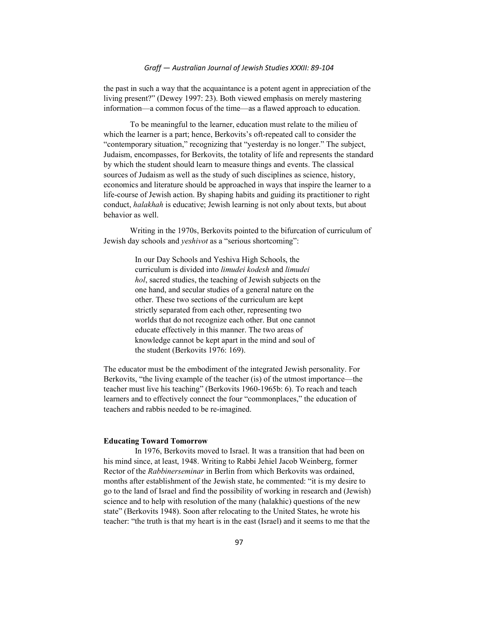the past in such a way that the acquaintance is a potent agent in appreciation of the living present?" (Dewey 1997: 23). Both viewed emphasis on merely mastering information—a common focus of the time—as a flawed approach to education.

To be meaningful to the learner, education must relate to the milieu of which the learner is a part; hence, Berkovits's oft-repeated call to consider the "contemporary situation," recognizing that "yesterday is no longer." The subject, Judaism, encompasses, for Berkovits, the totality of life and represents the standard by which the student should learn to measure things and events. The classical sources of Judaism as well as the study of such disciplines as science, history, economics and literature should be approached in ways that inspire the learner to a life-course of Jewish action. By shaping habits and guiding its practitioner to right conduct, *halakhah* is educative; Jewish learning is not only about texts, but about behavior as well.

Writing in the 1970s, Berkovits pointed to the bifurcation of curriculum of Jewish day schools and yeshivot as a "serious shortcoming":

> In our Day Schools and Yeshiva High Schools, the curriculum is divided into limudei kodesh and limudei hol, sacred studies, the teaching of Jewish subjects on the one hand, and secular studies of a general nature on the other. These two sections of the curriculum are kept strictly separated from each other, representing two worlds that do not recognize each other. But one cannot educate effectively in this manner. The two areas of knowledge cannot be kept apart in the mind and soul of the student (Berkovits 1976: 169).

The educator must be the embodiment of the integrated Jewish personality. For Berkovits, "the living example of the teacher (is) of the utmost importance—the teacher must live his teaching" (Berkovits 1960-1965b: 6). To reach and teach learners and to effectively connect the four "commonplaces," the education of teachers and rabbis needed to be re-imagined.

## Educating Toward Tomorrow

In 1976, Berkovits moved to Israel. It was a transition that had been on his mind since, at least, 1948. Writing to Rabbi Jehiel Jacob Weinberg, former Rector of the Rabbinerseminar in Berlin from which Berkovits was ordained, months after establishment of the Jewish state, he commented: "it is my desire to go to the land of Israel and find the possibility of working in research and (Jewish) science and to help with resolution of the many (halakhic) questions of the new state" (Berkovits 1948). Soon after relocating to the United States, he wrote his teacher: "the truth is that my heart is in the east (Israel) and it seems to me that the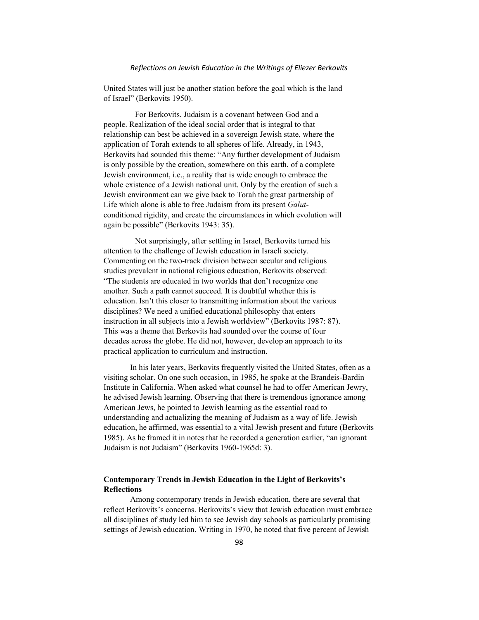United States will just be another station before the goal which is the land of Israel" (Berkovits 1950).

For Berkovits, Judaism is a covenant between God and a people. Realization of the ideal social order that is integral to that relationship can best be achieved in a sovereign Jewish state, where the application of Torah extends to all spheres of life. Already, in 1943, Berkovits had sounded this theme: "Any further development of Judaism is only possible by the creation, somewhere on this earth, of a complete Jewish environment, i.e., a reality that is wide enough to embrace the whole existence of a Jewish national unit. Only by the creation of such a Jewish environment can we give back to Torah the great partnership of Life which alone is able to free Judaism from its present Galutconditioned rigidity, and create the circumstances in which evolution will again be possible" (Berkovits 1943: 35).

Not surprisingly, after settling in Israel, Berkovits turned his attention to the challenge of Jewish education in Israeli society. Commenting on the two-track division between secular and religious studies prevalent in national religious education, Berkovits observed: "The students are educated in two worlds that don't recognize one another. Such a path cannot succeed. It is doubtful whether this is education. Isn't this closer to transmitting information about the various disciplines? We need a unified educational philosophy that enters instruction in all subjects into a Jewish worldview" (Berkovits 1987: 87). This was a theme that Berkovits had sounded over the course of four decades across the globe. He did not, however, develop an approach to its practical application to curriculum and instruction.

 In his later years, Berkovits frequently visited the United States, often as a visiting scholar. On one such occasion, in 1985, he spoke at the Brandeis-Bardin Institute in California. When asked what counsel he had to offer American Jewry, he advised Jewish learning. Observing that there is tremendous ignorance among American Jews, he pointed to Jewish learning as the essential road to understanding and actualizing the meaning of Judaism as a way of life. Jewish education, he affirmed, was essential to a vital Jewish present and future (Berkovits 1985). As he framed it in notes that he recorded a generation earlier, "an ignorant Judaism is not Judaism" (Berkovits 1960-1965d: 3).

# Contemporary Trends in Jewish Education in the Light of Berkovits's **Reflections**

 Among contemporary trends in Jewish education, there are several that reflect Berkovits's concerns. Berkovits's view that Jewish education must embrace all disciplines of study led him to see Jewish day schools as particularly promising settings of Jewish education. Writing in 1970, he noted that five percent of Jewish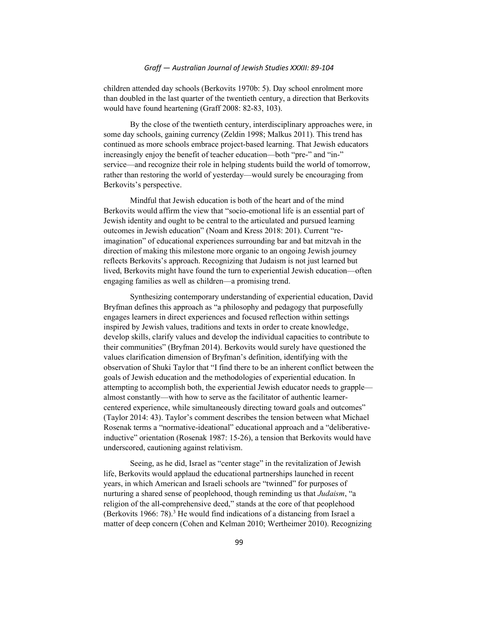children attended day schools (Berkovits 1970b: 5). Day school enrolment more than doubled in the last quarter of the twentieth century, a direction that Berkovits would have found heartening (Graff 2008: 82-83, 103).

 By the close of the twentieth century, interdisciplinary approaches were, in some day schools, gaining currency (Zeldin 1998; Malkus 2011). This trend has continued as more schools embrace project-based learning. That Jewish educators increasingly enjoy the benefit of teacher education—both "pre-" and "in-" service—and recognize their role in helping students build the world of tomorrow, rather than restoring the world of yesterday—would surely be encouraging from Berkovits's perspective.

 Mindful that Jewish education is both of the heart and of the mind Berkovits would affirm the view that "socio-emotional life is an essential part of Jewish identity and ought to be central to the articulated and pursued learning outcomes in Jewish education" (Noam and Kress 2018: 201). Current "reimagination" of educational experiences surrounding bar and bat mitzvah in the direction of making this milestone more organic to an ongoing Jewish journey reflects Berkovits's approach. Recognizing that Judaism is not just learned but lived, Berkovits might have found the turn to experiential Jewish education—often engaging families as well as children—a promising trend.

 Synthesizing contemporary understanding of experiential education, David Bryfman defines this approach as "a philosophy and pedagogy that purposefully engages learners in direct experiences and focused reflection within settings inspired by Jewish values, traditions and texts in order to create knowledge, develop skills, clarify values and develop the individual capacities to contribute to their communities" (Bryfman 2014). Berkovits would surely have questioned the values clarification dimension of Bryfman's definition, identifying with the observation of Shuki Taylor that "I find there to be an inherent conflict between the goals of Jewish education and the methodologies of experiential education. In attempting to accomplish both, the experiential Jewish educator needs to grapple almost constantly—with how to serve as the facilitator of authentic learnercentered experience, while simultaneously directing toward goals and outcomes" (Taylor 2014: 43). Taylor's comment describes the tension between what Michael Rosenak terms a "normative-ideational" educational approach and a "deliberativeinductive" orientation (Rosenak 1987: 15-26), a tension that Berkovits would have underscored, cautioning against relativism.

 Seeing, as he did, Israel as "center stage" in the revitalization of Jewish life, Berkovits would applaud the educational partnerships launched in recent years, in which American and Israeli schools are "twinned" for purposes of nurturing a shared sense of peoplehood, though reminding us that *Judaism*, "a religion of the all-comprehensive deed," stands at the core of that peoplehood (Berkovits 1966: 78).<sup>3</sup> He would find indications of a distancing from Israel a matter of deep concern (Cohen and Kelman 2010; Wertheimer 2010). Recognizing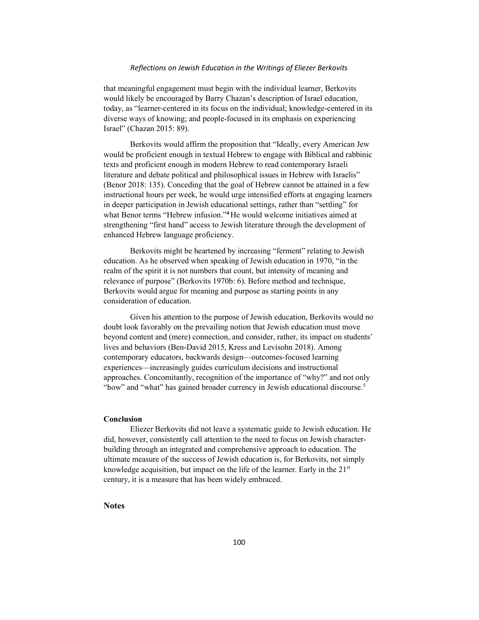that meaningful engagement must begin with the individual learner, Berkovits would likely be encouraged by Barry Chazan's description of Israel education, today, as "learner-centered in its focus on the individual; knowledge-centered in its diverse ways of knowing; and people-focused in its emphasis on experiencing Israel" (Chazan 2015: 89).

 Berkovits would affirm the proposition that "Ideally, every American Jew would be proficient enough in textual Hebrew to engage with Biblical and rabbinic texts and proficient enough in modern Hebrew to read contemporary Israeli literature and debate political and philosophical issues in Hebrew with Israelis" (Benor 2018: 135). Conceding that the goal of Hebrew cannot be attained in a few instructional hours per week, he would urge intensified efforts at engaging learners in deeper participation in Jewish educational settings, rather than "settling" for what Benor terms "Hebrew infusion."<sup>4</sup> He would welcome initiatives aimed at strengthening "first hand" access to Jewish literature through the development of enhanced Hebrew language proficiency.

 Berkovits might be heartened by increasing "ferment" relating to Jewish education. As he observed when speaking of Jewish education in 1970, "in the realm of the spirit it is not numbers that count, but intensity of meaning and relevance of purpose" (Berkovits 1970b: 6). Before method and technique, Berkovits would argue for meaning and purpose as starting points in any consideration of education.

 Given his attention to the purpose of Jewish education, Berkovits would no doubt look favorably on the prevailing notion that Jewish education must move beyond content and (mere) connection, and consider, rather, its impact on students' lives and behaviors (Ben-David 2015, Kress and Levisohn 2018). Among contemporary educators, backwards design—outcomes-focused learning experiences—increasingly guides curriculum decisions and instructional approaches. Concomitantly, recognition of the importance of "why?" and not only "how" and "what" has gained broader currency in Jewish educational discourse.<sup>5</sup>

## Conclusion

 Eliezer Berkovits did not leave a systematic guide to Jewish education. He did, however, consistently call attention to the need to focus on Jewish characterbuilding through an integrated and comprehensive approach to education. The ultimate measure of the success of Jewish education is, for Berkovits, not simply knowledge acquisition, but impact on the life of the learner. Early in the  $21<sup>st</sup>$ century, it is a measure that has been widely embraced.

## Notes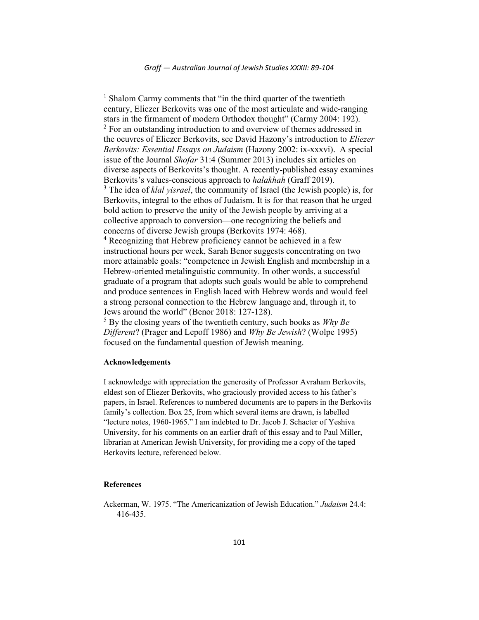<sup>1</sup> Shalom Carmy comments that "in the third quarter of the twentieth century, Eliezer Berkovits was one of the most articulate and wide-ranging stars in the firmament of modern Orthodox thought" (Carmy 2004: 192).  $2^2$  For an outstanding introduction to and overview of themes addressed in the oeuvres of Eliezer Berkovits, see David Hazony's introduction to Eliezer Berkovits: Essential Essays on Judaism (Hazony 2002: ix-xxxvi). A special issue of the Journal Shofar 31:4 (Summer 2013) includes six articles on diverse aspects of Berkovits's thought. A recently-published essay examines Berkovits's values-conscious approach to *halakhah* (Graff 2019).  $3$  The idea of *klal yisrael*, the community of Israel (the Jewish people) is, for Berkovits, integral to the ethos of Judaism. It is for that reason that he urged bold action to preserve the unity of the Jewish people by arriving at a collective approach to conversion—one recognizing the beliefs and concerns of diverse Jewish groups (Berkovits 1974: 468). 4 Recognizing that Hebrew proficiency cannot be achieved in a few instructional hours per week, Sarah Benor suggests concentrating on two more attainable goals: "competence in Jewish English and membership in a Hebrew-oriented metalinguistic community. In other words, a successful graduate of a program that adopts such goals would be able to comprehend and produce sentences in English laced with Hebrew words and would feel a strong personal connection to the Hebrew language and, through it, to Jews around the world" (Benor 2018: 127-128).  $5$  By the closing years of the twentieth century, such books as *Why Be* 

Different? (Prager and Lepoff 1986) and *Why Be Jewish*? (Wolpe 1995) focused on the fundamental question of Jewish meaning.

# Acknowledgements

I acknowledge with appreciation the generosity of Professor Avraham Berkovits, eldest son of Eliezer Berkovits, who graciously provided access to his father's papers, in Israel. References to numbered documents are to papers in the Berkovits family's collection. Box 25, from which several items are drawn, is labelled "lecture notes, 1960-1965." I am indebted to Dr. Jacob J. Schacter of Yeshiva University, for his comments on an earlier draft of this essay and to Paul Miller, librarian at American Jewish University, for providing me a copy of the taped Berkovits lecture, referenced below.

# References

Ackerman, W. 1975. "The Americanization of Jewish Education." Judaism 24.4: 416-435.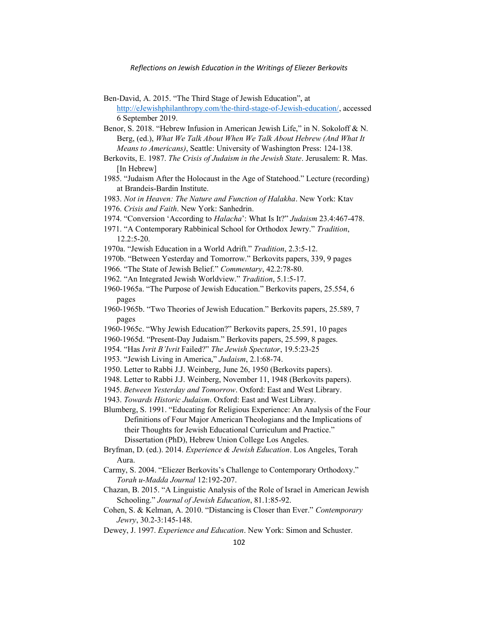- Ben-David, A. 2015. "The Third Stage of Jewish Education", at http://eJewishphilanthropy.com/the-third-stage-of-Jewish-education/, accessed 6 September 2019.
- Benor, S. 2018. "Hebrew Infusion in American Jewish Life," in N. Sokoloff & N. Berg, (ed.), What We Talk About When We Talk About Hebrew (And What It Means to Americans), Seattle: University of Washington Press: 124-138.
- Berkovits, E. 1987. The Crisis of Judaism in the Jewish State. Jerusalem: R. Mas. [In Hebrew]
- 1985. "Judaism After the Holocaust in the Age of Statehood." Lecture (recording) at Brandeis-Bardin Institute.
- 1983. Not in Heaven: The Nature and Function of Halakha. New York: Ktav
- 1976. Crisis and Faith. New York: Sanhedrin.
- 1974. "Conversion 'According to Halacha': What Is It?" Judaism 23.4:467-478.
- 1971. "A Contemporary Rabbinical School for Orthodox Jewry." Tradition, 12.2:5-20.
- 1970a. "Jewish Education in a World Adrift." Tradition, 2.3:5-12.
- 1970b. "Between Yesterday and Tomorrow." Berkovits papers, 339, 9 pages
- 1966. "The State of Jewish Belief." Commentary, 42.2:78-80.
- 1962. "An Integrated Jewish Worldview." Tradition, 5.1:5-17.
- 1960-1965a. "The Purpose of Jewish Education." Berkovits papers, 25.554, 6 pages
- 1960-1965b. "Two Theories of Jewish Education." Berkovits papers, 25.589, 7 pages
- 1960-1965c. "Why Jewish Education?" Berkovits papers, 25.591, 10 pages
- 1960-1965d. "Present-Day Judaism." Berkovits papers, 25.599, 8 pages.
- 1954. "Has Ivrit B'Ivrit Failed?" The Jewish Spectator, 19.5:23-25
- 1953. "Jewish Living in America," Judaism, 2.1:68-74.
- 1950. Letter to Rabbi J.J. Weinberg, June 26, 1950 (Berkovits papers).
- 1948. Letter to Rabbi J.J. Weinberg, November 11, 1948 (Berkovits papers).
- 1945. Between Yesterday and Tomorrow. Oxford: East and West Library.
- 1943. Towards Historic Judaism. Oxford: East and West Library.
- Blumberg, S. 1991. "Educating for Religious Experience: An Analysis of the Four Definitions of Four Major American Theologians and the Implications of their Thoughts for Jewish Educational Curriculum and Practice." Dissertation (PhD), Hebrew Union College Los Angeles.
- Bryfman, D. (ed.). 2014. Experience & Jewish Education. Los Angeles, Torah Aura.
- Carmy, S. 2004. "Eliezer Berkovits's Challenge to Contemporary Orthodoxy." Torah u-Madda Journal 12:192-207.
- Chazan, B. 2015. "A Linguistic Analysis of the Role of Israel in American Jewish Schooling." Journal of Jewish Education, 81.1:85-92.
- Cohen, S. & Kelman, A. 2010. "Distancing is Closer than Ever." Contemporary Jewry, 30.2-3:145-148.
- Dewey, J. 1997. Experience and Education. New York: Simon and Schuster.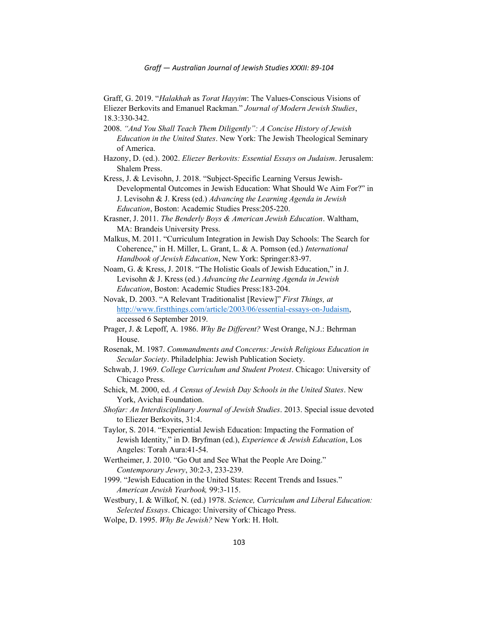Graff, G. 2019. "Halakhah as Torat Hayyim: The Values-Conscious Visions of Eliezer Berkovits and Emanuel Rackman." Journal of Modern Jewish Studies, 18.3:330-342.

- 2008. "And You Shall Teach Them Diligently": A Concise History of Jewish Education in the United States. New York: The Jewish Theological Seminary of America.
- Hazony, D. (ed.). 2002. Eliezer Berkovits: Essential Essays on Judaism. Jerusalem: Shalem Press.
- Kress, J. & Levisohn, J. 2018. "Subject-Specific Learning Versus Jewish-Developmental Outcomes in Jewish Education: What Should We Aim For?" in J. Levisohn & J. Kress (ed.) Advancing the Learning Agenda in Jewish Education, Boston: Academic Studies Press:205-220.
- Krasner, J. 2011. The Benderly Boys  $\&$  American Jewish Education. Waltham, MA: Brandeis University Press.
- Malkus, M. 2011. "Curriculum Integration in Jewish Day Schools: The Search for Coherence," in H. Miller, L. Grant, L. & A. Pomson (ed.) International Handbook of Jewish Education, New York: Springer:83-97.
- Noam, G. & Kress, J. 2018. "The Holistic Goals of Jewish Education," in J. Levisohn & J. Kress (ed.) Advancing the Learning Agenda in Jewish Education, Boston: Academic Studies Press:183-204.
- Novak, D. 2003. "A Relevant Traditionalist [Review]" First Things, at http://www.firstthings.com/article/2003/06/essential-essays-on-Judaism, accessed 6 September 2019.
- Prager, J. & Lepoff, A. 1986. Why Be Different? West Orange, N.J.: Behrman House.
- Rosenak, M. 1987. Commandments and Concerns: Jewish Religious Education in Secular Society. Philadelphia: Jewish Publication Society.
- Schwab, J. 1969. College Curriculum and Student Protest. Chicago: University of Chicago Press.
- Schick, M. 2000, ed. A Census of Jewish Day Schools in the United States. New York, Avichai Foundation.
- Shofar: An Interdisciplinary Journal of Jewish Studies. 2013. Special issue devoted to Eliezer Berkovits, 31:4.
- Taylor, S. 2014. "Experiential Jewish Education: Impacting the Formation of Jewish Identity," in D. Bryfman (ed.), Experience & Jewish Education, Los Angeles: Torah Aura:41-54.
- Wertheimer, J. 2010. "Go Out and See What the People Are Doing." Contemporary Jewry, 30:2-3, 233-239.
- 1999. "Jewish Education in the United States: Recent Trends and Issues." American Jewish Yearbook, 99:3-115.
- Westbury, I. & Wilkof, N. (ed.) 1978. Science, Curriculum and Liberal Education: Selected Essays. Chicago: University of Chicago Press.
- Wolpe, D. 1995. Why Be Jewish? New York: H. Holt.